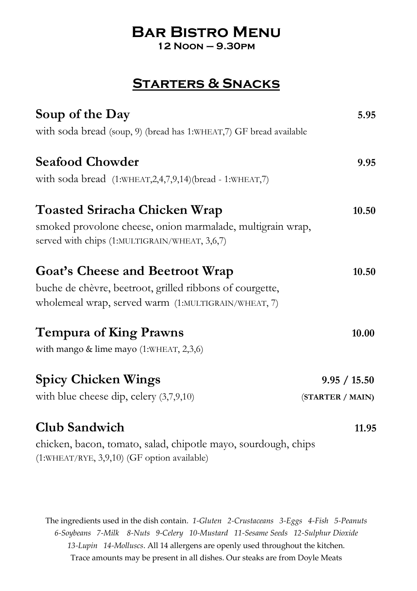# **Bar Bistro Menu**

**12 Noon – 9.30pm**

## **Starters & Snacks**

| Soup of the Day                                                                                               | 5.95             |
|---------------------------------------------------------------------------------------------------------------|------------------|
| with soda bread (soup, 9) (bread has 1:WHEAT,7) GF bread available                                            |                  |
| <b>Seafood Chowder</b>                                                                                        | 9.95             |
| with soda bread (1:WHEAT, 2, 4, 7, 9, 14) (bread - 1: WHEAT, 7)                                               |                  |
| <b>Toasted Sriracha Chicken Wrap</b>                                                                          | 10.50            |
| smoked provolone cheese, onion marmalade, multigrain wrap,<br>served with chips (1:MULTIGRAIN/WHEAT, 3,6,7)   |                  |
| <b>Goat's Cheese and Beetroot Wrap</b>                                                                        | 10.50            |
| buche de chèvre, beetroot, grilled ribbons of courgette,                                                      |                  |
| wholemeal wrap, served warm (1:MULTIGRAIN/WHEAT, 7)                                                           |                  |
| <b>Tempura of King Prawns</b>                                                                                 | 10.00            |
| with mango & lime mayo (1:WHEAT, 2,3,6)                                                                       |                  |
| <b>Spicy Chicken Wings</b>                                                                                    | 9.95 / 15.50     |
| with blue cheese dip, celery $(3,7,9,10)$                                                                     | (STARTER / MAIN) |
| <b>Club Sandwich</b>                                                                                          | 11.95            |
| chicken, bacon, tomato, salad, chipotle mayo, sourdough, chips<br>(1:WHEAT/RYE, 3,9,10) (GF option available) |                  |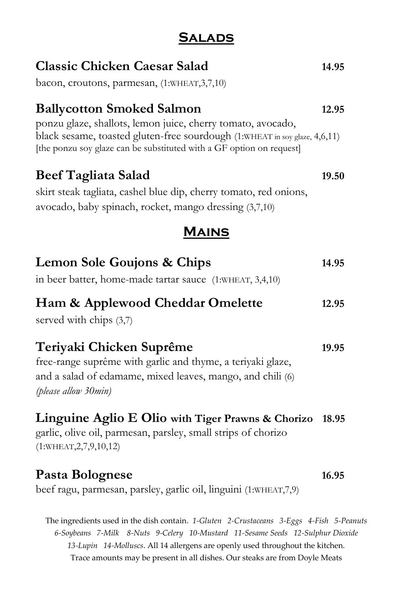## **Salads**

| <b>Classic Chicken Caesar Salad</b><br>bacon, croutons, parmesan, (1:WHEAT, 3, 7, 10)                                                                                                                                                                 | 14.95 |
|-------------------------------------------------------------------------------------------------------------------------------------------------------------------------------------------------------------------------------------------------------|-------|
| <b>Ballycotton Smoked Salmon</b><br>ponzu glaze, shallots, lemon juice, cherry tomato, avocado,<br>black sesame, toasted gluten-free sourdough (1:WHEAT in soy glaze, 4,6,11)<br>[the ponzu soy glaze can be substituted with a GF option on request] | 12.95 |
| <b>Beef Tagliata Salad</b><br>skirt steak tagliata, cashel blue dip, cherry tomato, red onions,<br>avocado, baby spinach, rocket, mango dressing (3,7,10)                                                                                             | 19.50 |
| <b>MAINS</b>                                                                                                                                                                                                                                          |       |
| Lemon Sole Goujons & Chips<br>in beer batter, home-made tartar sauce (1:WHEAT, 3,4,10)                                                                                                                                                                | 14.95 |
| Ham & Applewood Cheddar Omelette<br>served with chips (3,7)                                                                                                                                                                                           | 12.95 |
| Teriyaki Chicken Suprême<br>free-range suprême with garlic and thyme, a teriyaki glaze,<br>and a salad of edamame, mixed leaves, mango, and chili (6)<br>(please allow 30min)                                                                         | 19.95 |
| Linguine Aglio E Olio with Tiger Prawns & Chorizo<br>garlic, olive oil, parmesan, parsley, small strips of chorizo<br>(1:WHEAT, 2, 7, 9, 10, 12)                                                                                                      | 18.95 |
| Pasta Bolognese<br>beef ragu, parmesan, parsley, garlic oil, linguini (1:WHEAT, 7,9)                                                                                                                                                                  | 16.95 |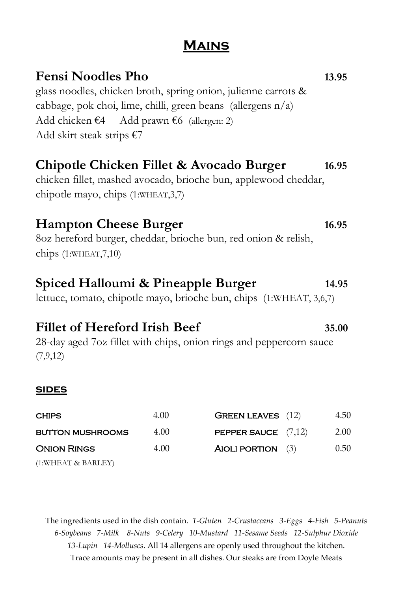## **Mains**

# **Fensi Noodles Pho 13.95** glass noodles, chicken broth, spring onion, julienne carrots & cabbage, pok choi, lime, chilli, green beans (allergens  $n/a$ ) Add chicken  $\epsilon$ 4 Add prawn  $\epsilon$ 6 (allergen: 2) Add skirt steak strips  $\epsilon$ 7 **Chipotle Chicken Fillet & Avocado Burger 16.95** chicken fillet, mashed avocado, brioche bun, applewood cheddar, chipotle mayo, chips (1:WHEAT,3,7)

### **Hampton Cheese Burger 16.95**

8oz hereford burger, cheddar, brioche bun, red onion & relish, chips (1:WHEAT,7,10)

#### **Spiced Halloumi & Pineapple Burger 14.95**

lettuce, tomato, chipotle mayo, brioche bun, chips (1:WHEAT, 3,6,7)

## **Fillet of Hereford Irish Beef 35.00**

28-day aged 7oz fillet with chips, onion rings and peppercorn sauce (7,9,12)

#### **sides**

| <b>CHIPS</b>            | 4.00 | <b>GREEN LEAVES</b> (12)     | 4.50 |
|-------------------------|------|------------------------------|------|
| <b>BUTTON MUSHROOMS</b> | 4.00 | <b>PEPPER SAUCE</b> $(7,12)$ | 2.00 |
| <b>ONION RINGS</b>      | 4.00 | AIOLI PORTION $(3)$          | 0.50 |
| (1:WHEAT & BARLEY)      |      |                              |      |